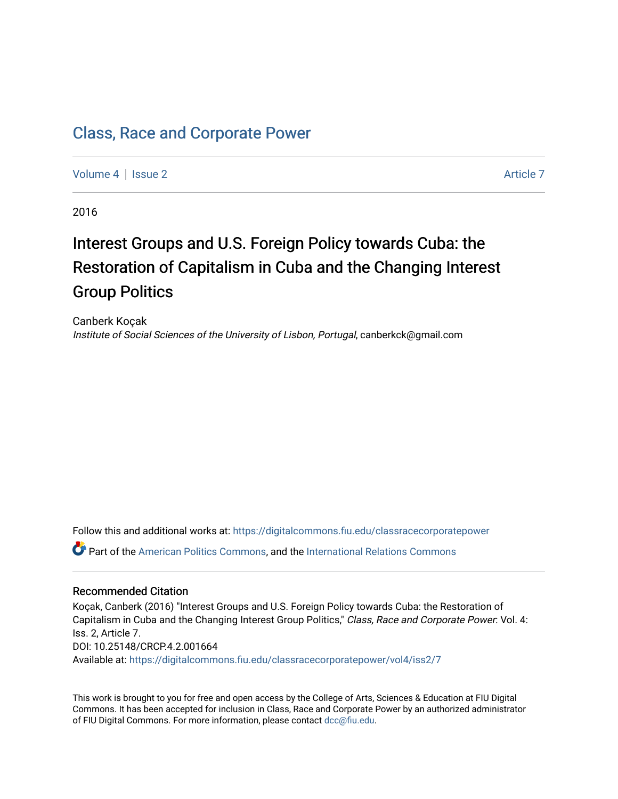# [Class, Race and Corporate Power](https://digitalcommons.fiu.edu/classracecorporatepower)

[Volume 4](https://digitalcommons.fiu.edu/classracecorporatepower/vol4) | [Issue 2](https://digitalcommons.fiu.edu/classracecorporatepower/vol4/iss2) Article 7

2016

# Interest Groups and U.S. Foreign Policy towards Cuba: the Restoration of Capitalism in Cuba and the Changing Interest Group Politics

Canberk Koçak Institute of Social Sciences of the University of Lisbon, Portugal, canberkck@gmail.com

Follow this and additional works at: [https://digitalcommons.fiu.edu/classracecorporatepower](https://digitalcommons.fiu.edu/classracecorporatepower?utm_source=digitalcommons.fiu.edu%2Fclassracecorporatepower%2Fvol4%2Fiss2%2F7&utm_medium=PDF&utm_campaign=PDFCoverPages)

Part of the [American Politics Commons,](http://network.bepress.com/hgg/discipline/387?utm_source=digitalcommons.fiu.edu%2Fclassracecorporatepower%2Fvol4%2Fiss2%2F7&utm_medium=PDF&utm_campaign=PDFCoverPages) and the [International Relations Commons](http://network.bepress.com/hgg/discipline/389?utm_source=digitalcommons.fiu.edu%2Fclassracecorporatepower%2Fvol4%2Fiss2%2F7&utm_medium=PDF&utm_campaign=PDFCoverPages)

#### Recommended Citation

Koçak, Canberk (2016) "Interest Groups and U.S. Foreign Policy towards Cuba: the Restoration of Capitalism in Cuba and the Changing Interest Group Politics," Class, Race and Corporate Power: Vol. 4: Iss. 2, Article 7. DOI: 10.25148/CRCP.4.2.001664 Available at: [https://digitalcommons.fiu.edu/classracecorporatepower/vol4/iss2/7](https://digitalcommons.fiu.edu/classracecorporatepower/vol4/iss2/7?utm_source=digitalcommons.fiu.edu%2Fclassracecorporatepower%2Fvol4%2Fiss2%2F7&utm_medium=PDF&utm_campaign=PDFCoverPages)

This work is brought to you for free and open access by the College of Arts, Sciences & Education at FIU Digital Commons. It has been accepted for inclusion in Class, Race and Corporate Power by an authorized administrator of FIU Digital Commons. For more information, please contact [dcc@fiu.edu](mailto:dcc@fiu.edu).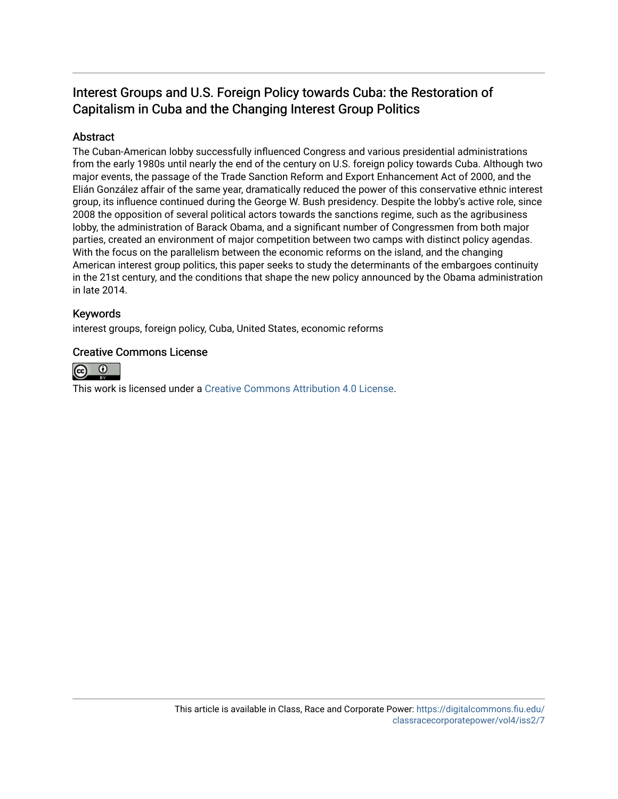# Interest Groups and U.S. Foreign Policy towards Cuba: the Restoration of Capitalism in Cuba and the Changing Interest Group Politics

# Abstract

The Cuban-American lobby successfully influenced Congress and various presidential administrations from the early 1980s until nearly the end of the century on U.S. foreign policy towards Cuba. Although two major events, the passage of the Trade Sanction Reform and Export Enhancement Act of 2000, and the Elián González affair of the same year, dramatically reduced the power of this conservative ethnic interest group, its influence continued during the George W. Bush presidency. Despite the lobby's active role, since 2008 the opposition of several political actors towards the sanctions regime, such as the agribusiness lobby, the administration of Barack Obama, and a significant number of Congressmen from both major parties, created an environment of major competition between two camps with distinct policy agendas. With the focus on the parallelism between the economic reforms on the island, and the changing American interest group politics, this paper seeks to study the determinants of the embargoes continuity in the 21st century, and the conditions that shape the new policy announced by the Obama administration in late 2014.

# Keywords

interest groups, foreign policy, Cuba, United States, economic reforms

## Creative Commons License



This work is licensed under a [Creative Commons Attribution 4.0 License](http://creativecommons.org/licenses/by/4.0/).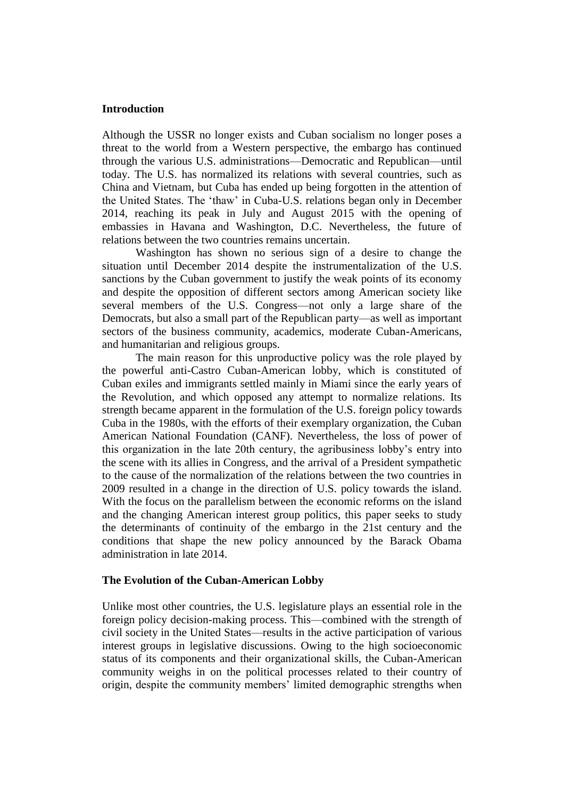#### **Introduction**

Although the USSR no longer exists and Cuban socialism no longer poses a threat to the world from a Western perspective, the embargo has continued through the various U.S. administrations—Democratic and Republican—until today. The U.S. has normalized its relations with several countries, such as China and Vietnam, but Cuba has ended up being forgotten in the attention of the United States. The 'thaw' in Cuba-U.S. relations began only in December 2014, reaching its peak in July and August 2015 with the opening of embassies in Havana and Washington, D.C. Nevertheless, the future of relations between the two countries remains uncertain.

Washington has shown no serious sign of a desire to change the situation until December 2014 despite the instrumentalization of the U.S. sanctions by the Cuban government to justify the weak points of its economy and despite the opposition of different sectors among American society like several members of the U.S. Congress—not only a large share of the Democrats, but also a small part of the Republican party—as well as important sectors of the business community, academics, moderate Cuban-Americans, and humanitarian and religious groups.

The main reason for this unproductive policy was the role played by the powerful anti-Castro Cuban-American lobby, which is constituted of Cuban exiles and immigrants settled mainly in Miami since the early years of the Revolution, and which opposed any attempt to normalize relations. Its strength became apparent in the formulation of the U.S. foreign policy towards Cuba in the 1980s, with the efforts of their exemplary organization, the Cuban American National Foundation (CANF). Nevertheless, the loss of power of this organization in the late 20th century, the agribusiness lobby's entry into the scene with its allies in Congress, and the arrival of a President sympathetic to the cause of the normalization of the relations between the two countries in 2009 resulted in a change in the direction of U.S. policy towards the island. With the focus on the parallelism between the economic reforms on the island and the changing American interest group politics, this paper seeks to study the determinants of continuity of the embargo in the 21st century and the conditions that shape the new policy announced by the Barack Obama administration in late 2014.

#### **The Evolution of the Cuban-American Lobby**

Unlike most other countries, the U.S. legislature plays an essential role in the foreign policy decision-making process. This—combined with the strength of civil society in the United States—results in the active participation of various interest groups in legislative discussions. Owing to the high socioeconomic status of its components and their organizational skills, the Cuban-American community weighs in on the political processes related to their country of origin, despite the community members' limited demographic strengths when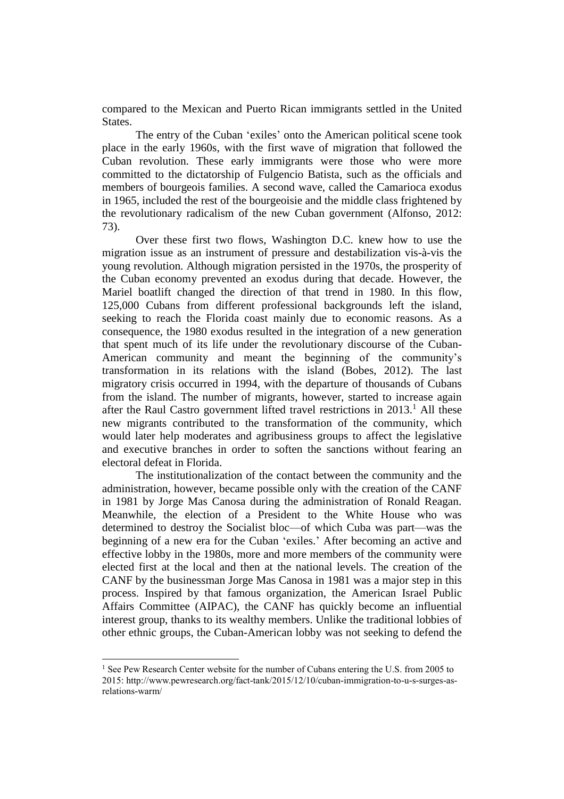compared to the Mexican and Puerto Rican immigrants settled in the United States.

The entry of the Cuban 'exiles' onto the American political scene took place in the early 1960s, with the first wave of migration that followed the Cuban revolution. These early immigrants were those who were more committed to the dictatorship of Fulgencio Batista, such as the officials and members of bourgeois families. A second wave, called the Camarioca exodus in 1965, included the rest of the bourgeoisie and the middle class frightened by the revolutionary radicalism of the new Cuban government (Alfonso, 2012: 73).

Over these first two flows, Washington D.C. knew how to use the migration issue as an instrument of pressure and destabilization vis-à-vis the young revolution. Although migration persisted in the 1970s, the prosperity of the Cuban economy prevented an exodus during that decade. However, the Mariel boatlift changed the direction of that trend in 1980. In this flow, 125,000 Cubans from different professional backgrounds left the island, seeking to reach the Florida coast mainly due to economic reasons. As a consequence, the 1980 exodus resulted in the integration of a new generation that spent much of its life under the revolutionary discourse of the Cuban-American community and meant the beginning of the community's transformation in its relations with the island (Bobes, 2012). The last migratory crisis occurred in 1994, with the departure of thousands of Cubans from the island. The number of migrants, however, started to increase again after the Raul Castro government lifted travel restrictions in  $2013<sup>1</sup>$  All these new migrants contributed to the transformation of the community, which would later help moderates and agribusiness groups to affect the legislative and executive branches in order to soften the sanctions without fearing an electoral defeat in Florida.

The institutionalization of the contact between the community and the administration, however, became possible only with the creation of the CANF in 1981 by Jorge Mas Canosa during the administration of Ronald Reagan. Meanwhile, the election of a President to the White House who was determined to destroy the Socialist bloc—of which Cuba was part—was the beginning of a new era for the Cuban 'exiles.' After becoming an active and effective lobby in the 1980s, more and more members of the community were elected first at the local and then at the national levels. The creation of the CANF by the businessman Jorge Mas Canosa in 1981 was a major step in this process. Inspired by that famous organization, the American Israel Public Affairs Committee (AIPAC), the CANF has quickly become an influential interest group, thanks to its wealthy members. Unlike the traditional lobbies of other ethnic groups, the Cuban-American lobby was not seeking to defend the

<sup>&</sup>lt;sup>1</sup> See Pew Research Center website for the number of Cubans entering the U.S. from 2005 to 2015: [http://www.pewresearch.org/fact-tank/2015/12/10/cuban-immigration-to-u-s-surges-as](http://www.pewresearch.org/fact-tank/2015/12/10/cuban-immigration-to-u-s-surges-as-relations-warm/)[relations-warm/](http://www.pewresearch.org/fact-tank/2015/12/10/cuban-immigration-to-u-s-surges-as-relations-warm/)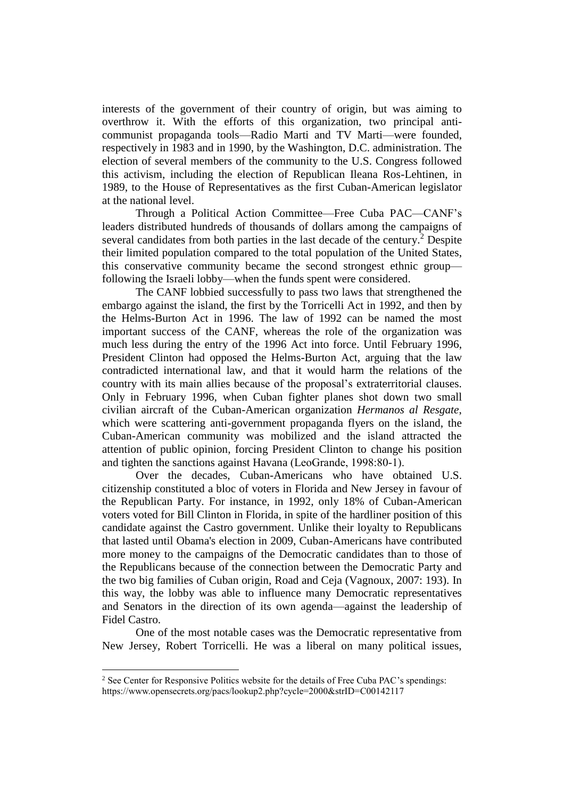interests of the government of their country of origin, but was aiming to overthrow it. With the efforts of this organization, two principal anticommunist propaganda tools—Radio Marti and TV Marti—were founded, respectively in 1983 and in 1990, by the Washington, D.C. administration. The election of several members of the community to the U.S. Congress followed this activism, including the election of Republican Ileana Ros-Lehtinen, in 1989, to the House of Representatives as the first Cuban-American legislator at the national level.

Through a Political Action Committee—Free Cuba PAC—CANF's leaders distributed hundreds of thousands of dollars among the campaigns of several candidates from both parties in the last decade of the century. <sup>2</sup> Despite their limited population compared to the total population of the United States, this conservative community became the second strongest ethnic group following the Israeli lobby—when the funds spent were considered.

The CANF lobbied successfully to pass two laws that strengthened the embargo against the island, the first by the Torricelli Act in 1992, and then by the Helms-Burton Act in 1996. The law of 1992 can be named the most important success of the CANF, whereas the role of the organization was much less during the entry of the 1996 Act into force. Until February 1996, President Clinton had opposed the Helms-Burton Act, arguing that the law contradicted international law, and that it would harm the relations of the country with its main allies because of the proposal's extraterritorial clauses. Only in February 1996, when Cuban fighter planes shot down two small civilian aircraft of the Cuban-American organization *Hermanos al Resgate*, which were scattering anti-government propaganda flyers on the island, the Cuban-American community was mobilized and the island attracted the attention of public opinion, forcing President Clinton to change his position and tighten the sanctions against Havana (LeoGrande, 1998:80-1).

Over the decades, Cuban-Americans who have obtained U.S. citizenship constituted a bloc of voters in Florida and New Jersey in favour of the Republican Party. For instance, in 1992, only 18% of Cuban-American voters voted for Bill Clinton in Florida, in spite of the hardliner position of this candidate against the Castro government. Unlike their loyalty to Republicans that lasted until Obama's election in 2009, Cuban-Americans have contributed more money to the campaigns of the Democratic candidates than to those of the Republicans because of the connection between the Democratic Party and the two big families of Cuban origin, Road and Ceja (Vagnoux, 2007: 193). In this way, the lobby was able to influence many Democratic representatives and Senators in the direction of its own agenda—against the leadership of Fidel Castro.

One of the most notable cases was the Democratic representative from New Jersey, Robert Torricelli. He was a liberal on many political issues,

<sup>2</sup> See Center for Responsive Politics website for the details of Free Cuba PAC's spendings: <https://www.opensecrets.org/pacs/lookup2.php?cycle=2000&strID=C00142117>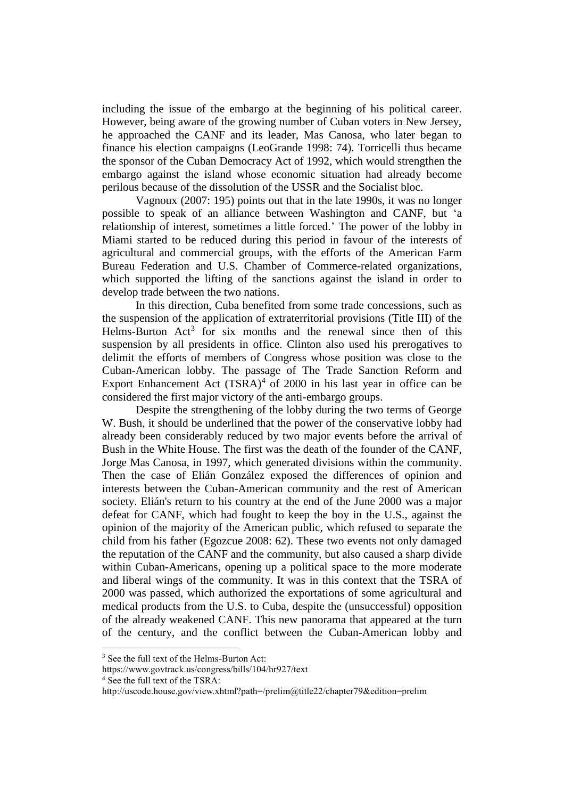including the issue of the embargo at the beginning of his political career. However, being aware of the growing number of Cuban voters in New Jersey, he approached the CANF and its leader, Mas Canosa, who later began to finance his election campaigns (LeoGrande 1998: 74). Torricelli thus became the sponsor of the Cuban Democracy Act of 1992, which would strengthen the embargo against the island whose economic situation had already become perilous because of the dissolution of the USSR and the Socialist bloc.

Vagnoux (2007: 195) points out that in the late 1990s, it was no longer possible to speak of an alliance between Washington and CANF, but 'a relationship of interest, sometimes a little forced.' The power of the lobby in Miami started to be reduced during this period in favour of the interests of agricultural and commercial groups, with the efforts of the American Farm Bureau Federation and U.S. Chamber of Commerce-related organizations, which supported the lifting of the sanctions against the island in order to develop trade between the two nations.

In this direction, Cuba benefited from some trade concessions, such as the suspension of the application of extraterritorial provisions (Title III) of the Helms-Burton  $Act^3$  for six months and the renewal since then of this suspension by all presidents in office. Clinton also used his prerogatives to delimit the efforts of members of Congress whose position was close to the Cuban-American lobby. The passage of The Trade Sanction Reform and Export Enhancement Act  $(TSRA)^4$  of 2000 in his last year in office can be considered the first major victory of the anti-embargo groups.

Despite the strengthening of the lobby during the two terms of George W. Bush, it should be underlined that the power of the conservative lobby had already been considerably reduced by two major events before the arrival of Bush in the White House. The first was the death of the founder of the CANF, Jorge Mas Canosa, in 1997, which generated divisions within the community. Then the case of Elián González exposed the differences of opinion and interests between the Cuban-American community and the rest of American society. Elián's return to his country at the end of the June 2000 was a major defeat for CANF, which had fought to keep the boy in the U.S., against the opinion of the majority of the American public, which refused to separate the child from his father (Egozcue 2008: 62). These two events not only damaged the reputation of the CANF and the community, but also caused a sharp divide within Cuban-Americans, opening up a political space to the more moderate and liberal wings of the community. It was in this context that the TSRA of 2000 was passed, which authorized the exportations of some agricultural and medical products from the U.S. to Cuba, despite the (unsuccessful) opposition of the already weakened CANF. This new panorama that appeared at the turn of the century, and the conflict between the Cuban-American lobby and

<sup>&</sup>lt;sup>3</sup> See the full text of the Helms-Burton Act:

<https://www.govtrack.us/congress/bills/104/hr927/text>

<sup>4</sup> See the full text of the TSRA:

<http://uscode.house.gov/view.xhtml?path=/prelim@title22/chapter79&edition=prelim>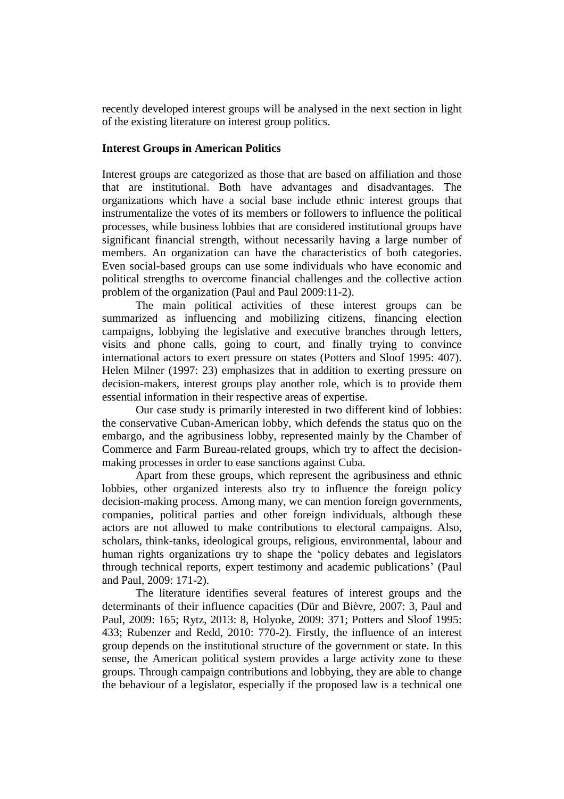recently developed interest groups will be analysed in the next section in light of the existing literature on interest group politics.

#### **Interest Groups in American Politics**

Interest groups are categorized as those that are based on affiliation and those that are institutional. Both have advantages and disadvantages. The organizations which have a social base include ethnic interest groups that instrumentalize the votes of its members or followers to influence the political processes, while business lobbies that are considered institutional groups have significant financial strength, without necessarily having a large number of members. An organization can have the characteristics of both categories. Even social-based groups can use some individuals who have economic and political strengths to overcome financial challenges and the collective action problem of the organization (Paul and Paul 2009:11-2).

The main political activities of these interest groups can be summarized as influencing and mobilizing citizens, financing election campaigns, lobbying the legislative and executive branches through letters, visits and phone calls, going to court, and finally trying to convince international actors to exert pressure on states (Potters and Sloof 1995: 407). Helen Milner (1997: 23) emphasizes that in addition to exerting pressure on decision-makers, interest groups play another role, which is to provide them essential information in their respective areas of expertise.

Our case study is primarily interested in two different kind of lobbies: the conservative Cuban-American lobby, which defends the status quo on the embargo, and the agribusiness lobby, represented mainly by the Chamber of Commerce and Farm Bureau-related groups, which try to affect the decisionmaking processes in order to ease sanctions against Cuba.

Apart from these groups, which represent the agribusiness and ethnic lobbies, other organized interests also try to influence the foreign policy decision-making process. Among many, we can mention foreign governments, companies, political parties and other foreign individuals, although these actors are not allowed to make contributions to electoral campaigns. Also, scholars, think-tanks, ideological groups, religious, environmental, labour and human rights organizations try to shape the 'policy debates and legislators through technical reports, expert testimony and academic publications' (Paul and Paul, 2009: 171-2).

The literature identifies several features of interest groups and the determinants of their influence capacities (Dür and Bièvre, 2007: 3, Paul and Paul, 2009: 165; Rytz, 2013: 8, Holyoke, 2009: 371; Potters and Sloof 1995: 433; Rubenzer and Redd, 2010: 770-2). Firstly, the influence of an interest group depends on the institutional structure of the government or state. In this sense, the American political system provides a large activity zone to these groups. Through campaign contributions and lobbying, they are able to change the behaviour of a legislator, especially if the proposed law is a technical one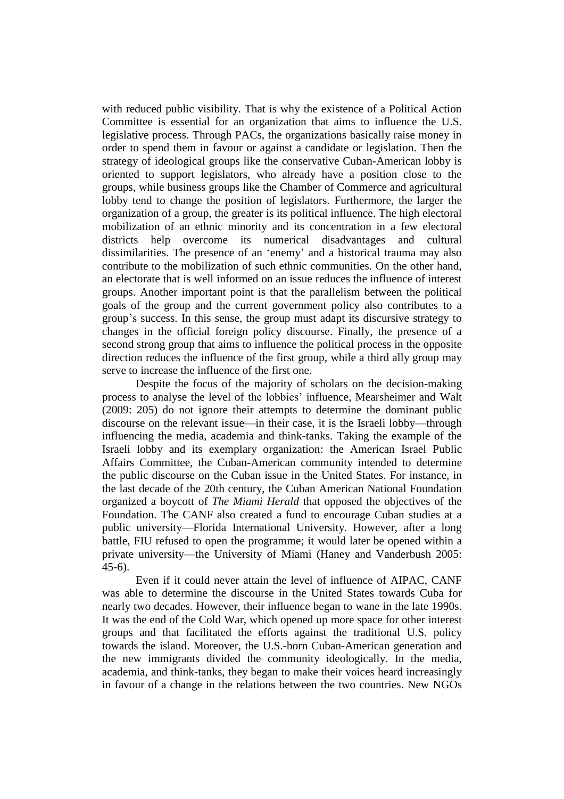with reduced public visibility. That is why the existence of a Political Action Committee is essential for an organization that aims to influence the U.S. legislative process. Through PACs, the organizations basically raise money in order to spend them in favour or against a candidate or legislation. Then the strategy of ideological groups like the conservative Cuban-American lobby is oriented to support legislators, who already have a position close to the groups, while business groups like the Chamber of Commerce and agricultural lobby tend to change the position of legislators. Furthermore, the larger the organization of a group, the greater is its political influence. The high electoral mobilization of an ethnic minority and its concentration in a few electoral districts help overcome its numerical disadvantages and cultural dissimilarities. The presence of an 'enemy' and a historical trauma may also contribute to the mobilization of such ethnic communities. On the other hand, an electorate that is well informed on an issue reduces the influence of interest groups. Another important point is that the parallelism between the political goals of the group and the current government policy also contributes to a group's success. In this sense, the group must adapt its discursive strategy to changes in the official foreign policy discourse. Finally, the presence of a second strong group that aims to influence the political process in the opposite direction reduces the influence of the first group, while a third ally group may serve to increase the influence of the first one.

Despite the focus of the majority of scholars on the decision-making process to analyse the level of the lobbies' influence, Mearsheimer and Walt (2009: 205) do not ignore their attempts to determine the dominant public discourse on the relevant issue—in their case, it is the Israeli lobby—through influencing the media, academia and think-tanks. Taking the example of the Israeli lobby and its exemplary organization: the American Israel Public Affairs Committee, the Cuban-American community intended to determine the public discourse on the Cuban issue in the United States. For instance, in the last decade of the 20th century, the Cuban American National Foundation organized a boycott of *The Miami Herald* that opposed the objectives of the Foundation. The CANF also created a fund to encourage Cuban studies at a public university—Florida International University. However, after a long battle, FIU refused to open the programme; it would later be opened within a private university—the University of Miami (Haney and Vanderbush 2005: 45-6).

Even if it could never attain the level of influence of AIPAC, CANF was able to determine the discourse in the United States towards Cuba for nearly two decades. However, their influence began to wane in the late 1990s. It was the end of the Cold War, which opened up more space for other interest groups and that facilitated the efforts against the traditional U.S. policy towards the island. Moreover, the U.S.-born Cuban-American generation and the new immigrants divided the community ideologically. In the media, academia, and think-tanks, they began to make their voices heard increasingly in favour of a change in the relations between the two countries. New NGOs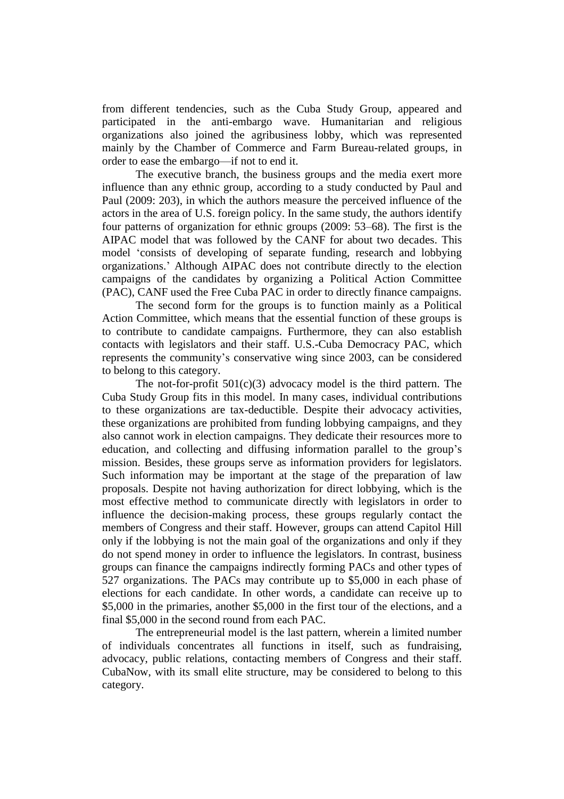from different tendencies, such as the Cuba Study Group, appeared and participated in the anti-embargo wave. Humanitarian and religious organizations also joined the agribusiness lobby, which was represented mainly by the Chamber of Commerce and Farm Bureau-related groups, in order to ease the embargo—if not to end it.

The executive branch, the business groups and the media exert more influence than any ethnic group, according to a study conducted by Paul and Paul (2009: 203), in which the authors measure the perceived influence of the actors in the area of U.S. foreign policy. In the same study, the authors identify four patterns of organization for ethnic groups (2009: 53–68). The first is the AIPAC model that was followed by the CANF for about two decades. This model 'consists of developing of separate funding, research and lobbying organizations.' Although AIPAC does not contribute directly to the election campaigns of the candidates by organizing a Political Action Committee (PAC), CANF used the Free Cuba PAC in order to directly finance campaigns.

The second form for the groups is to function mainly as a Political Action Committee, which means that the essential function of these groups is to contribute to candidate campaigns. Furthermore, they can also establish contacts with legislators and their staff. U.S.-Cuba Democracy PAC, which represents the community's conservative wing since 2003, can be considered to belong to this category.

The not-for-profit  $501(c)(3)$  advocacy model is the third pattern. The Cuba Study Group fits in this model. In many cases, individual contributions to these organizations are tax-deductible. Despite their advocacy activities, these organizations are prohibited from funding lobbying campaigns, and they also cannot work in election campaigns. They dedicate their resources more to education, and collecting and diffusing information parallel to the group's mission. Besides, these groups serve as information providers for legislators. Such information may be important at the stage of the preparation of law proposals. Despite not having authorization for direct lobbying, which is the most effective method to communicate directly with legislators in order to influence the decision-making process, these groups regularly contact the members of Congress and their staff. However, groups can attend Capitol Hill only if the lobbying is not the main goal of the organizations and only if they do not spend money in order to influence the legislators. In contrast, business groups can finance the campaigns indirectly forming PACs and other types of 527 organizations. The PACs may contribute up to \$5,000 in each phase of elections for each candidate. In other words, a candidate can receive up to \$5,000 in the primaries, another \$5,000 in the first tour of the elections, and a final \$5,000 in the second round from each PAC.

The entrepreneurial model is the last pattern, wherein a limited number of individuals concentrates all functions in itself, such as fundraising, advocacy, public relations, contacting members of Congress and their staff. CubaNow, with its small elite structure, may be considered to belong to this category.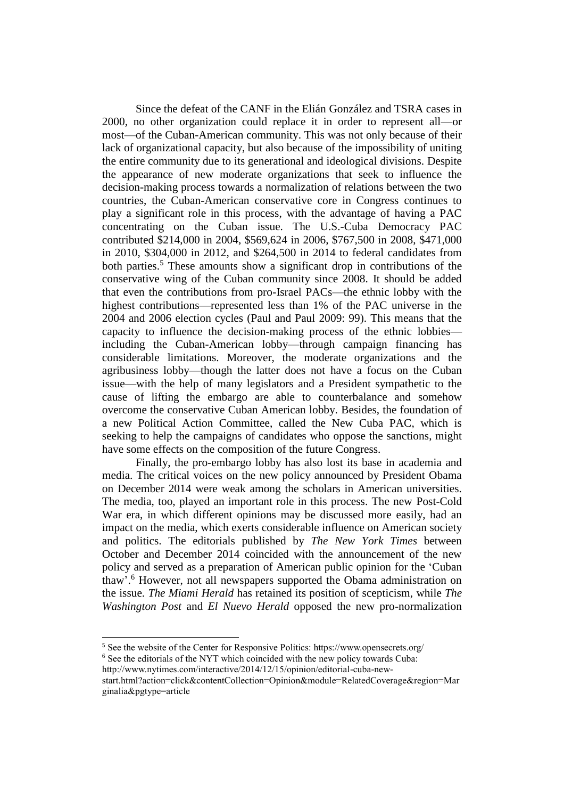Since the defeat of the CANF in the Elián González and TSRA cases in 2000, no other organization could replace it in order to represent all—or most—of the Cuban-American community. This was not only because of their lack of organizational capacity, but also because of the impossibility of uniting the entire community due to its generational and ideological divisions. Despite the appearance of new moderate organizations that seek to influence the decision-making process towards a normalization of relations between the two countries, the Cuban-American conservative core in Congress continues to play a significant role in this process, with the advantage of having a PAC concentrating on the Cuban issue. The U.S.-Cuba Democracy PAC contributed \$214,000 in 2004, \$569,624 in 2006, \$767,500 in 2008, \$471,000 in 2010, \$304,000 in 2012, and \$264,500 in 2014 to federal candidates from both parties. <sup>5</sup> These amounts show a significant drop in contributions of the conservative wing of the Cuban community since 2008. It should be added that even the contributions from pro-Israel PACs—the ethnic lobby with the highest contributions—represented less than 1% of the PAC universe in the 2004 and 2006 election cycles (Paul and Paul 2009: 99). This means that the capacity to influence the decision-making process of the ethnic lobbies including the Cuban-American lobby—through campaign financing has considerable limitations. Moreover, the moderate organizations and the agribusiness lobby—though the latter does not have a focus on the Cuban issue—with the help of many legislators and a President sympathetic to the cause of lifting the embargo are able to counterbalance and somehow overcome the conservative Cuban American lobby. Besides, the foundation of a new Political Action Committee, called the New Cuba PAC, which is seeking to help the campaigns of candidates who oppose the sanctions, might have some effects on the composition of the future Congress.

Finally, the pro-embargo lobby has also lost its base in academia and media. The critical voices on the new policy announced by President Obama on December 2014 were weak among the scholars in American universities. The media, too, played an important role in this process. The new Post-Cold War era, in which different opinions may be discussed more easily, had an impact on the media, which exerts considerable influence on American society and politics. The editorials published by *The New York Times* between October and December 2014 coincided with the announcement of the new policy and served as a preparation of American public opinion for the 'Cuban thaw'. <sup>6</sup> However, not all newspapers supported the Obama administration on the issue. *The Miami Herald* has retained its position of scepticism, while *The Washington Post* and *El Nuevo Herald* opposed the new pro-normalization

<sup>5</sup> See the website of the Center for Responsive Politics: https://www.opensecrets.org/

<sup>6</sup> See the editorials of the NYT which coincided with the new policy towards Cuba: [http://www.nytimes.com/interactive/2014/12/15/opinion/editorial-cuba-new-](http://www.nytimes.com/interactive/2014/12/15/opinion/editorial-cuba-new-start.html?action=click&contentCollection=Opinion&module=RelatedCoverage®ion=Marginalia&pgtype=article)

[start.html?action=click&contentCollection=Opinion&module=RelatedCoverage&region=Mar](http://www.nytimes.com/interactive/2014/12/15/opinion/editorial-cuba-new-start.html?action=click&contentCollection=Opinion&module=RelatedCoverage®ion=Marginalia&pgtype=article) [ginalia&pgtype=article](http://www.nytimes.com/interactive/2014/12/15/opinion/editorial-cuba-new-start.html?action=click&contentCollection=Opinion&module=RelatedCoverage®ion=Marginalia&pgtype=article)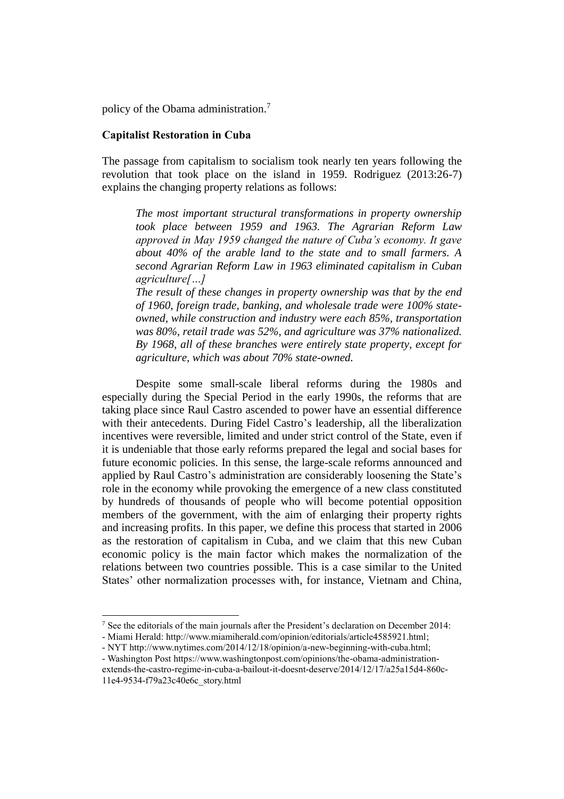policy of the Obama administration.<sup>7</sup>

### **Capitalist Restoration in Cuba**

The passage from capitalism to socialism took nearly ten years following the revolution that took place on the island in 1959. Rodriguez (2013:26-7) explains the changing property relations as follows:

*The most important structural transformations in property ownership took place between 1959 and 1963. The Agrarian Reform Law approved in May 1959 changed the nature of Cuba's economy. It gave about 40% of the arable land to the state and to small farmers. A second Agrarian Reform Law in 1963 eliminated capitalism in Cuban agriculture[…]*

*The result of these changes in property ownership was that by the end of 1960, foreign trade, banking, and wholesale trade were 100% stateowned, while construction and industry were each 85%, transportation was 80%, retail trade was 52%, and agriculture was 37% nationalized. By 1968, all of these branches were entirely state property, except for agriculture, which was about 70% state-owned.*

Despite some small-scale liberal reforms during the 1980s and especially during the Special Period in the early 1990s, the reforms that are taking place since Raul Castro ascended to power have an essential difference with their antecedents. During Fidel Castro's leadership, all the liberalization incentives were reversible, limited and under strict control of the State, even if it is undeniable that those early reforms prepared the legal and social bases for future economic policies. In this sense, the large-scale reforms announced and applied by Raul Castro's administration are considerably loosening the State's role in the economy while provoking the emergence of a new class constituted by hundreds of thousands of people who will become potential opposition members of the government, with the aim of enlarging their property rights and increasing profits. In this paper, we define this process that started in 2006 as the restoration of capitalism in Cuba, and we claim that this new Cuban economic policy is the main factor which makes the normalization of the relations between two countries possible. This is a case similar to the United States' other normalization processes with, for instance, Vietnam and China,

<sup>7</sup> See the editorials of the main journals after the President's declaration on December 2014:

<sup>-</sup> Miami Herald: [http://www.miamiherald.com/opinion/editorials/article4585921.html;](http://www.miamiherald.com/opinion/editorials/article4585921.html)

<sup>-</sup> NY[T http://www.nytimes.com/2014/12/18/opinion/a-new-beginning-with-cuba.html;](http://www.nytimes.com/2014/12/18/opinion/a-new-beginning-with-cuba.html)

<sup>-</sup> Washington Post [https://www.washingtonpost.com/opinions/the-obama-administration-](https://www.washingtonpost.com/opinions/the-obama-administration-extends-the-castro-regime-in-cuba-a-bailout-it-doesnt-deserve/2014/12/17/a25a15d4-860c-11e4-9534-f79a23c40e6c_story.html)

[extends-the-castro-regime-in-cuba-a-bailout-it-doesnt-deserve/2014/12/17/a25a15d4-860c-](https://www.washingtonpost.com/opinions/the-obama-administration-extends-the-castro-regime-in-cuba-a-bailout-it-doesnt-deserve/2014/12/17/a25a15d4-860c-11e4-9534-f79a23c40e6c_story.html)[11e4-9534-f79a23c40e6c\\_story.html](https://www.washingtonpost.com/opinions/the-obama-administration-extends-the-castro-regime-in-cuba-a-bailout-it-doesnt-deserve/2014/12/17/a25a15d4-860c-11e4-9534-f79a23c40e6c_story.html)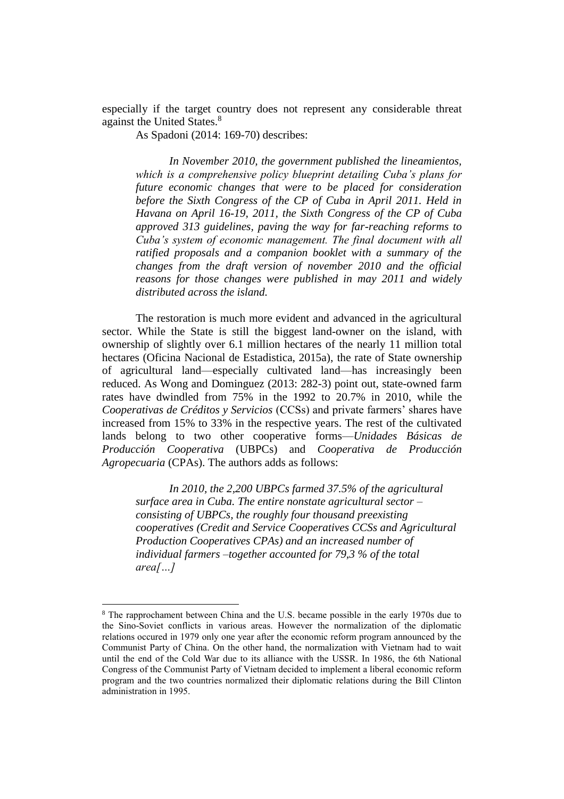especially if the target country does not represent any considerable threat against the United States. 8

As Spadoni (2014: 169-70) describes:

*In November 2010, the government published the lineamientos, which is a comprehensive policy blueprint detailing Cuba's plans for future economic changes that were to be placed for consideration before the Sixth Congress of the CP of Cuba in April 2011. Held in Havana on April 16-19, 2011, the Sixth Congress of the CP of Cuba approved 313 guidelines, paving the way for far-reaching reforms to Cuba's system of economic management. The final document with all ratified proposals and a companion booklet with a summary of the changes from the draft version of november 2010 and the official reasons for those changes were published in may 2011 and widely distributed across the island.*

The restoration is much more evident and advanced in the agricultural sector. While the State is still the biggest land-owner on the island, with ownership of slightly over 6.1 million hectares of the nearly 11 million total hectares (Oficina Nacional de Estadistica, 2015a), the rate of State ownership of agricultural land—especially cultivated land—has increasingly been reduced. As Wong and Dominguez (2013: 282-3) point out, state-owned farm rates have dwindled from 75% in the 1992 to 20.7% in 2010, while the *Cooperativas de Créditos y Servicios* (CCSs) and private farmers' shares have increased from 15% to 33% in the respective years. The rest of the cultivated lands belong to two other cooperative forms—*Unidades Básicas de Producción Cooperativa* (UBPCs) and *Cooperativa de Producción Agropecuaria* (CPAs). The authors adds as follows:

*In 2010, the 2,200 UBPCs farmed 37.5% of the agricultural surface area in Cuba. The entire nonstate agricultural sector – consisting of UBPCs, the roughly four thousand preexisting cooperatives (Credit and Service Cooperatives CCSs and Agricultural Production Cooperatives CPAs) and an increased number of individual farmers –together accounted for 79,3 % of the total area[…]*

<sup>8</sup> The rapprochament between China and the U.S. became possible in the early 1970s due to the Sino-Soviet conflicts in various areas. However the normalization of the diplomatic relations occured in 1979 only one year after the economic reform program announced by the Communist Party of China. On the other hand, the normalization with Vietnam had to wait until the end of the Cold War due to its alliance with the USSR. In 1986, the 6th National Congress of the Communist Party of Vietnam decided to implement a liberal economic reform program and the two countries normalized their diplomatic relations during the Bill Clinton administration in 1995.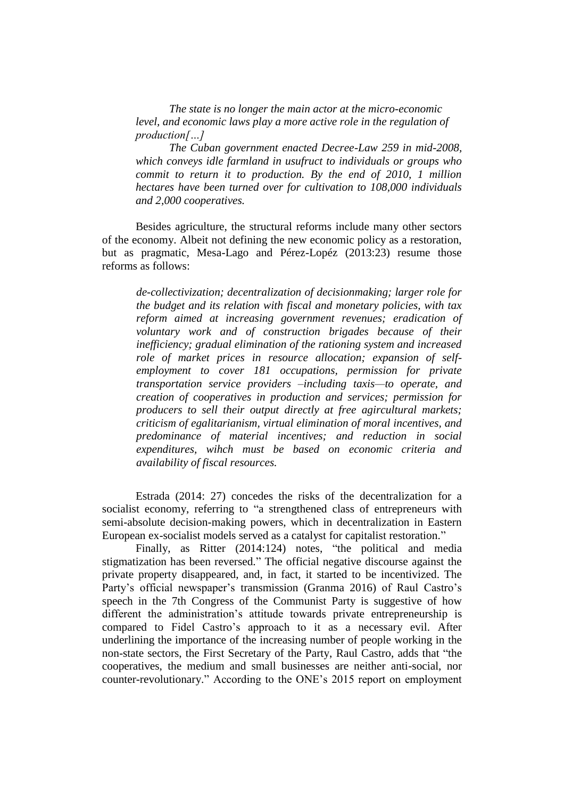*The state is no longer the main actor at the micro-economic level, and economic laws play a more active role in the regulation of production[…]* 

*The Cuban government enacted Decree-Law 259 in mid-2008, which conveys idle farmland in usufruct to individuals or groups who commit to return it to production. By the end of 2010, 1 million hectares have been turned over for cultivation to 108,000 individuals and 2,000 cooperatives.* 

Besides agriculture, the structural reforms include many other sectors of the economy. Albeit not defining the new economic policy as a restoration, but as pragmatic, Mesa-Lago and Pérez-Lopéz (2013:23) resume those reforms as follows:

*de-collectivization; decentralization of decisionmaking; larger role for the budget and its relation with fiscal and monetary policies, with tax reform aimed at increasing government revenues; eradication of voluntary work and of construction brigades because of their inefficiency; gradual elimination of the rationing system and increased role of market prices in resource allocation; expansion of selfemployment to cover 181 occupations, permission for private transportation service providers –including taxis—to operate, and creation of cooperatives in production and services; permission for producers to sell their output directly at free agircultural markets; criticism of egalitarianism, virtual elimination of moral incentives, and predominance of material incentives; and reduction in social expenditures, wihch must be based on economic criteria and availability of fiscal resources.*

Estrada (2014: 27) concedes the risks of the decentralization for a socialist economy, referring to "a strengthened class of entrepreneurs with semi-absolute decision-making powers, which in decentralization in Eastern European ex-socialist models served as a catalyst for capitalist restoration."

Finally, as Ritter (2014:124) notes, "the political and media stigmatization has been reversed." The official negative discourse against the private property disappeared, and, in fact, it started to be incentivized. The Party's official newspaper's transmission (Granma 2016) of Raul Castro's speech in the 7th Congress of the Communist Party is suggestive of how different the administration's attitude towards private entrepreneurship is compared to Fidel Castro's approach to it as a necessary evil. After underlining the importance of the increasing number of people working in the non-state sectors, the First Secretary of the Party, Raul Castro, adds that "the cooperatives, the medium and small businesses are neither anti-social, nor counter-revolutionary." According to the ONE's 2015 report on employment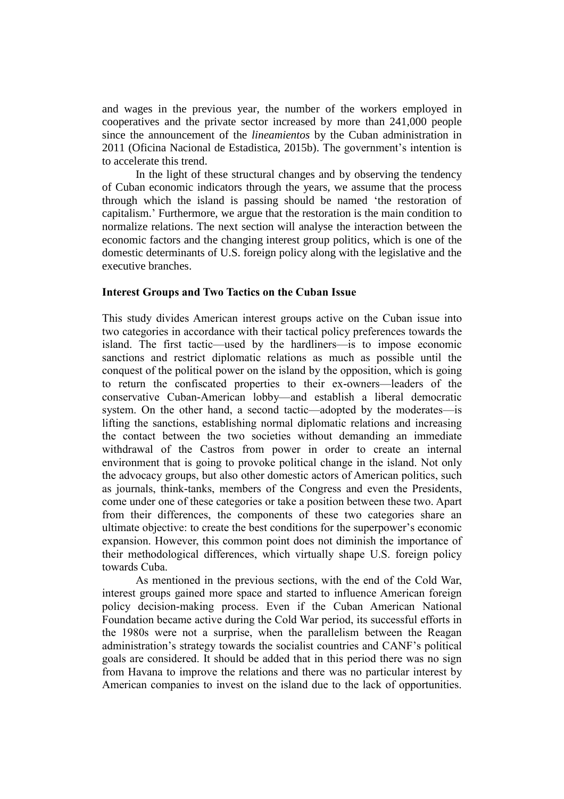and wages in the previous year, the number of the workers employed in cooperatives and the private sector increased by more than 241,000 people since the announcement of the *lineamientos* by the Cuban administration in 2011 (Oficina Nacional de Estadistica, 2015b). The government's intention is to accelerate this trend.

In the light of these structural changes and by observing the tendency of Cuban economic indicators through the years, we assume that the process through which the island is passing should be named 'the restoration of capitalism.' Furthermore, we argue that the restoration is the main condition to normalize relations. The next section will analyse the interaction between the economic factors and the changing interest group politics, which is one of the domestic determinants of U.S. foreign policy along with the legislative and the executive branches.

#### **Interest Groups and Two Tactics on the Cuban Issue**

This study divides American interest groups active on the Cuban issue into two categories in accordance with their tactical policy preferences towards the island. The first tactic—used by the hardliners—is to impose economic sanctions and restrict diplomatic relations as much as possible until the conquest of the political power on the island by the opposition, which is going to return the confiscated properties to their ex-owners—leaders of the conservative Cuban-American lobby—and establish a liberal democratic system. On the other hand, a second tactic—adopted by the moderates—is lifting the sanctions, establishing normal diplomatic relations and increasing the contact between the two societies without demanding an immediate withdrawal of the Castros from power in order to create an internal environment that is going to provoke political change in the island. Not only the advocacy groups, but also other domestic actors of American politics, such as journals, think-tanks, members of the Congress and even the Presidents, come under one of these categories or take a position between these two. Apart from their differences, the components of these two categories share an ultimate objective: to create the best conditions for the superpower's economic expansion. However, this common point does not diminish the importance of their methodological differences, which virtually shape U.S. foreign policy towards Cuba.

As mentioned in the previous sections, with the end of the Cold War, interest groups gained more space and started to influence American foreign policy decision-making process. Even if the Cuban American National Foundation became active during the Cold War period, its successful efforts in the 1980s were not a surprise, when the parallelism between the Reagan administration's strategy towards the socialist countries and CANF's political goals are considered. It should be added that in this period there was no sign from Havana to improve the relations and there was no particular interest by American companies to invest on the island due to the lack of opportunities.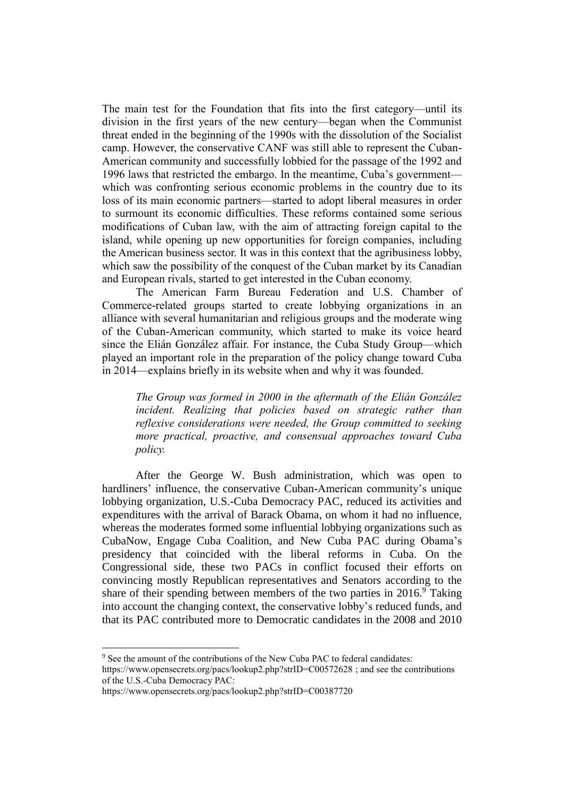The main test for the Foundation that fits into the first category—until its division in the first years of the new century—began when the Communist threat ended in the beginning of the 1990s with the dissolution of the Socialist camp. However, the conservative CANF was still able to represent the Cuban-American community and successfully lobbied for the passage of the 1992 and 1996 laws that restricted the embargo. In the meantime, Cuba's government which was confronting serious economic problems in the country due to its loss of its main economic partners—started to adopt liberal measures in order to surmount its economic difficulties. These reforms contained some serious modifications of Cuban law, with the aim of attracting foreign capital to the island, while opening up new opportunities for foreign companies, including the American business sector. It was in this context that the agribusiness lobby, which saw the possibility of the conquest of the Cuban market by its Canadian and European rivals, started to get interested in the Cuban economy.

The American Farm Bureau Federation and U.S. Chamber of Commerce-related groups started to create lobbying organizations in an alliance with several humanitarian and religious groups and the moderate wing of the Cuban-American community, which started to make its voice heard since the Elián González affair. For instance, the Cuba Study Group—which played an important role in the preparation of the policy change toward Cuba in 2014—explains briefly in its website when and why it was founded.

*The Group was formed in 2000 in the aftermath of the Elián González incident. Realizing that policies based on strategic rather than reflexive considerations were needed, the Group committed to seeking more practical, proactive, and consensual approaches toward Cuba policy.* 

After the George W. Bush administration, which was open to hardliners' influence, the conservative Cuban-American community's unique lobbying organization, U.S.-Cuba Democracy PAC, reduced its activities and expenditures with the arrival of Barack Obama, on whom it had no influence, whereas the moderates formed some influential lobbying organizations such as CubaNow, Engage Cuba Coalition, and New Cuba PAC during Obama's presidency that coincided with the liberal reforms in Cuba. On the Congressional side, these two PACs in conflict focused their efforts on convincing mostly Republican representatives and Senators according to the share of their spending between members of the two parties in 2016.<sup>9</sup> Taking into account the changing context, the conservative lobby's reduced funds, and that its PAC contributed more to Democratic candidates in the 2008 and 2010

<sup>&</sup>lt;sup>9</sup> See the amount of the contributions of the New Cuba PAC to federal candidates:

<https://www.opensecrets.org/pacs/lookup2.php?strID=C00572628> ; and see the contributions of the U.S.-Cuba Democracy PAC:

<https://www.opensecrets.org/pacs/lookup2.php?strID=C00387720>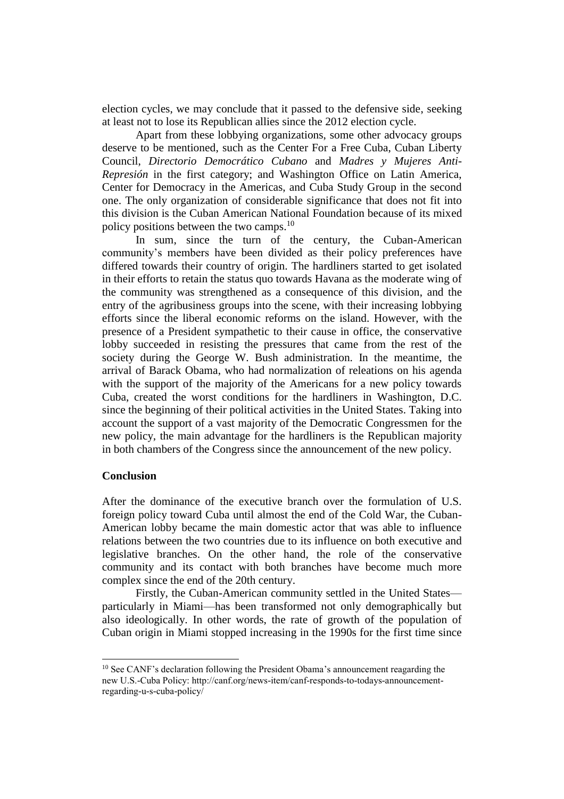election cycles, we may conclude that it passed to the defensive side, seeking at least not to lose its Republican allies since the 2012 election cycle.

Apart from these lobbying organizations, some other advocacy groups deserve to be mentioned, such as the Center For a Free Cuba, Cuban Liberty Council, *Directorio Democrático Cubano* and *Madres y Mujeres Anti-Represión* in the first category; and Washington Office on Latin America, Center for Democracy in the Americas, and Cuba Study Group in the second one. The only organization of considerable significance that does not fit into this division is the Cuban American National Foundation because of its mixed policy positions between the two camps.<sup>10</sup>

In sum, since the turn of the century, the Cuban-American community's members have been divided as their policy preferences have differed towards their country of origin. The hardliners started to get isolated in their efforts to retain the status quo towards Havana as the moderate wing of the community was strengthened as a consequence of this division, and the entry of the agribusiness groups into the scene, with their increasing lobbying efforts since the liberal economic reforms on the island. However, with the presence of a President sympathetic to their cause in office, the conservative lobby succeeded in resisting the pressures that came from the rest of the society during the George W. Bush administration. In the meantime, the arrival of Barack Obama, who had normalization of releations on his agenda with the support of the majority of the Americans for a new policy towards Cuba, created the worst conditions for the hardliners in Washington, D.C. since the beginning of their political activities in the United States. Taking into account the support of a vast majority of the Democratic Congressmen for the new policy, the main advantage for the hardliners is the Republican majority in both chambers of the Congress since the announcement of the new policy.

## **Conclusion**

 $\overline{a}$ 

After the dominance of the executive branch over the formulation of U.S. foreign policy toward Cuba until almost the end of the Cold War, the Cuban-American lobby became the main domestic actor that was able to influence relations between the two countries due to its influence on both executive and legislative branches. On the other hand, the role of the conservative community and its contact with both branches have become much more complex since the end of the 20th century.

Firstly, the Cuban-American community settled in the United States particularly in Miami—has been transformed not only demographically but also ideologically. In other words, the rate of growth of the population of Cuban origin in Miami stopped increasing in the 1990s for the first time since

<sup>&</sup>lt;sup>10</sup> See CANF's declaration following the President Obama's announcement reagarding the new U.S.-Cuba Policy: [http://canf.org/news-item/canf-responds-to-todays-announcement](http://canf.org/news-item/canf-responds-to-todays-announcement-regarding-u-s-cuba-policy/)[regarding-u-s-cuba-policy/](http://canf.org/news-item/canf-responds-to-todays-announcement-regarding-u-s-cuba-policy/)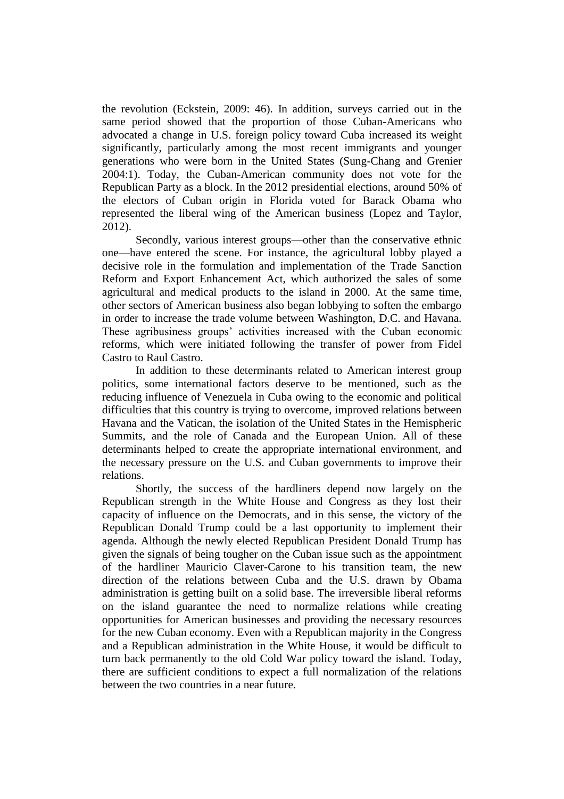the revolution (Eckstein, 2009: 46). In addition, surveys carried out in the same period showed that the proportion of those Cuban-Americans who advocated a change in U.S. foreign policy toward Cuba increased its weight significantly, particularly among the most recent immigrants and younger generations who were born in the United States (Sung-Chang and Grenier 2004:1). Today, the Cuban-American community does not vote for the Republican Party as a block. In the 2012 presidential elections, around 50% of the electors of Cuban origin in Florida voted for Barack Obama who represented the liberal wing of the American business (Lopez and Taylor, 2012).

Secondly, various interest groups—other than the conservative ethnic one—have entered the scene. For instance, the agricultural lobby played a decisive role in the formulation and implementation of the Trade Sanction Reform and Export Enhancement Act, which authorized the sales of some agricultural and medical products to the island in 2000. At the same time, other sectors of American business also began lobbying to soften the embargo in order to increase the trade volume between Washington, D.C. and Havana. These agribusiness groups' activities increased with the Cuban economic reforms, which were initiated following the transfer of power from Fidel Castro to Raul Castro.

In addition to these determinants related to American interest group politics, some international factors deserve to be mentioned, such as the reducing influence of Venezuela in Cuba owing to the economic and political difficulties that this country is trying to overcome, improved relations between Havana and the Vatican, the isolation of the United States in the Hemispheric Summits, and the role of Canada and the European Union. All of these determinants helped to create the appropriate international environment, and the necessary pressure on the U.S. and Cuban governments to improve their relations.

Shortly, the success of the hardliners depend now largely on the Republican strength in the White House and Congress as they lost their capacity of influence on the Democrats, and in this sense, the victory of the Republican Donald Trump could be a last opportunity to implement their agenda. Although the newly elected Republican President Donald Trump has given the signals of being tougher on the Cuban issue such as the appointment of the hardliner Mauricio Claver-Carone to his transition team, the new direction of the relations between Cuba and the U.S. drawn by Obama administration is getting built on a solid base. The irreversible liberal reforms on the island guarantee the need to normalize relations while creating opportunities for American businesses and providing the necessary resources for the new Cuban economy. Even with a Republican majority in the Congress and a Republican administration in the White House, it would be difficult to turn back permanently to the old Cold War policy toward the island. Today, there are sufficient conditions to expect a full normalization of the relations between the two countries in a near future.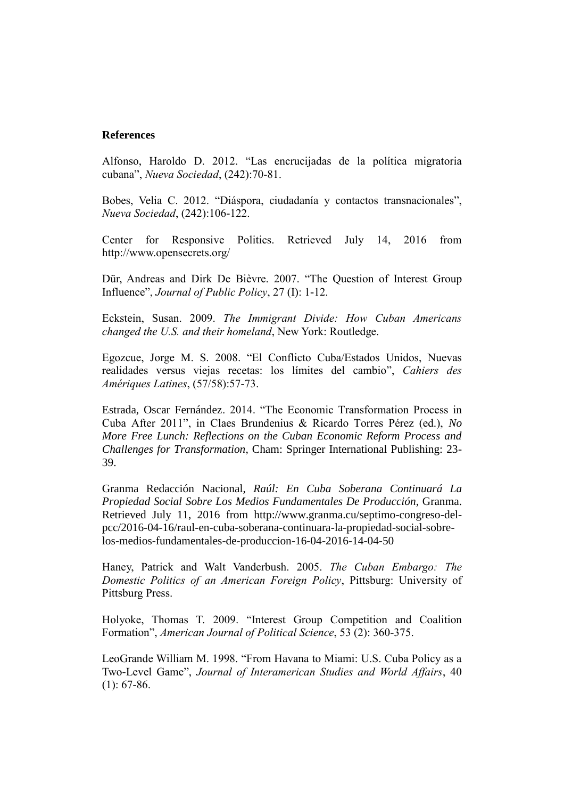#### **References**

Alfonso, Haroldo D. 2012. "Las encrucijadas de la política migratoria cubana", *Nueva Sociedad*, (242):70-81.

Bobes, Velia C. 2012. "Diáspora, ciudadanía y contactos transnacionales", *Nueva Sociedad*, (242):106-122.

Center for Responsive Politics. Retrieved July 14, 2016 from http://www.opensecrets.org/

Dür, Andreas and Dirk De Bièvre. 2007. "The Question of Interest Group Influence", *Journal of Public Policy*, 27 (I): 1-12.

Eckstein, Susan. 2009. *The Immigrant Divide: How Cuban Americans changed the U.S. and their homeland*, New York: Routledge.

Egozcue, Jorge M. S. 2008. "El Conflicto Cuba/Estados Unidos, Nuevas realidades versus viejas recetas: los límites del cambio", *Cahiers des Amériques Latines*, (57/58):57-73.

Estrada, Oscar Fernández. 2014. "The Economic Transformation Process in Cuba After 2011", in Claes Brundenius & Ricardo Torres Pérez (ed.), *No More Free Lunch: Reflections on the Cuban Economic Reform Process and Challenges for Transformation*, Cham: Springer International Publishing: 23- 39.

Granma Redacción Nacional, *Raúl: En Cuba Soberana Continuará La Propiedad Social Sobre Los Medios Fundamentales De Producción*, Granma. Retrieved July 11, 2016 from http://www.granma.cu/septimo-congreso-delpcc/2016-04-16/raul-en-cuba-soberana-continuara-la-propiedad-social-sobrelos-medios-fundamentales-de-produccion-16-04-2016-14-04-50

Haney, Patrick and Walt Vanderbush. 2005. *The Cuban Embargo: The Domestic Politics of an American Foreign Policy*, Pittsburg: University of Pittsburg Press.

Holyoke, Thomas T. 2009. "Interest Group Competition and Coalition Formation", *American Journal of Political Science*, 53 (2): 360-375.

LeoGrande William M. 1998. "From Havana to Miami: U.S. Cuba Policy as a Two-Level Game", *Journal of Interamerican Studies and World Affairs*, 40  $(1): 67-86.$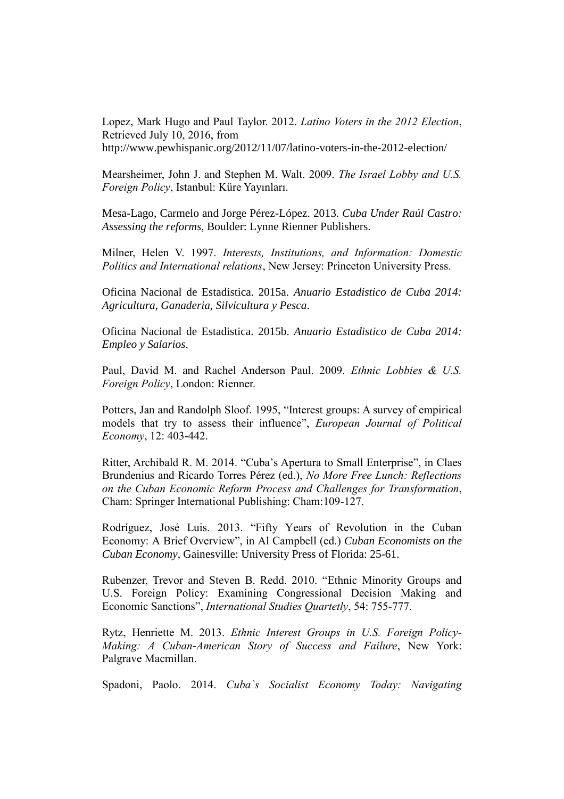Lopez, Mark Hugo and Paul Taylor. 2012. *Latino Voters in the 2012 Election*, Retrieved July 10, 2016, from <http://www.pewhispanic.org/2012/11/07/latino-voters-in-the-2012-election/>

Mearsheimer, John J. and Stephen M. Walt. 2009. *The Israel Lobby and U.S. Foreign Policy*, Istanbul: Küre Yayınları.

Mesa-Lago, Carmelo and Jorge Pérez-López. 2013. *Cuba Under Raúl Castro: Assessing the reforms*, Boulder: Lynne Rienner Publishers.

Milner, Helen V. 1997. *Interests, Institutions, and Information: Domestic Politics and International relations*, New Jersey: Princeton University Press.

Oficina Nacional de Estadistica. 2015a. *Anuario Estadistico de Cuba 2014: Agricultura, Ganaderia, Silvicultura y Pesca*.

Oficina Nacional de Estadistica. 2015b. *Anuario Estadistico de Cuba 2014: Empleo y Salarios*.

Paul, David M. and Rachel Anderson Paul. 2009. *Ethnic Lobbies & U.S. Foreign Policy*, London: Rienner.

Potters, Jan and Randolph Sloof. 1995, "Interest groups: A survey of empirical models that try to assess their influence", *European Journal of Political Economy*, 12: 403-442.

Ritter, Archibald R. M. 2014. "Cuba's Apertura to Small Enterprise", in Claes Brundenius and Ricardo Torres Pérez (ed.), *No More Free Lunch: Reflections on the Cuban Economic Reform Process and Challenges for Transformation*, Cham: Springer International Publishing: Cham:109-127.

Rodríguez, José Luis. 2013. "Fifty Years of Revolution in the Cuban Economy: A Brief Overview", in Al Campbell (ed.) *Cuban Economists on the Cuban Economy*, Gainesville: University Press of Florida: 25-61.

Rubenzer, Trevor and Steven B. Redd. 2010. "Ethnic Minority Groups and U.S. Foreign Policy: Examining Congressional Decision Making and Economic Sanctions", *International Studies Quartetly*, 54: 755-777.

Rytz, Henriette M. 2013. *Ethnic Interest Groups in U.S. Foreign Policy-Making: A Cuban-American Story of Success and Failure*, New York: Palgrave Macmillan.

Spadoni, Paolo. 2014. *Cuba`s Socialist Economy Today: Navigating*